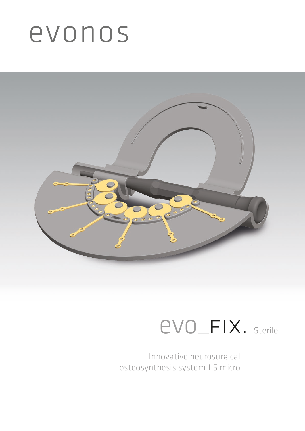# evonos



### evo\_fix. Sterile

Innovative neurosurgical osteosynthesis system 1.5 micro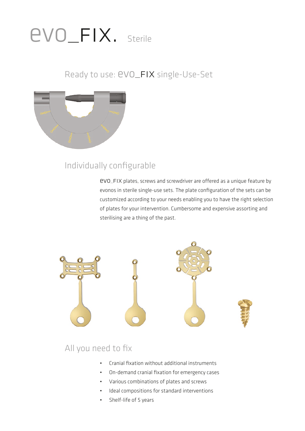## evo\_fix. Sterile

### Ready to use:  $evo_F$ IX single-Use-Set



### Individually configurable

evo\_fix plates, screws and screwdriver are offered as a unique feature by evonos in sterile single-use sets. The plate configuration of the sets can be customized according to your needs enabling you to have the right selection of plates for your intervention. Cumbersome and expensive assorting and sterilising are a thing of the past.



### All you need to fix

- Cranial fixation without additional instruments
- On-demand cranial fixation for emergency cases
- Various combinations of plates and screws
- Ideal compositions for standard interventions
- Shelf-life of 5 years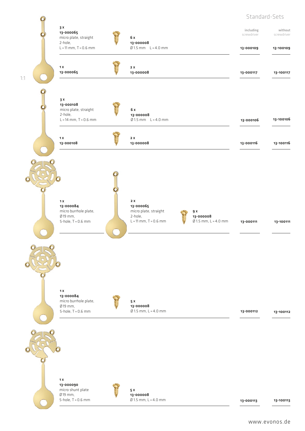#### Standard-Sets